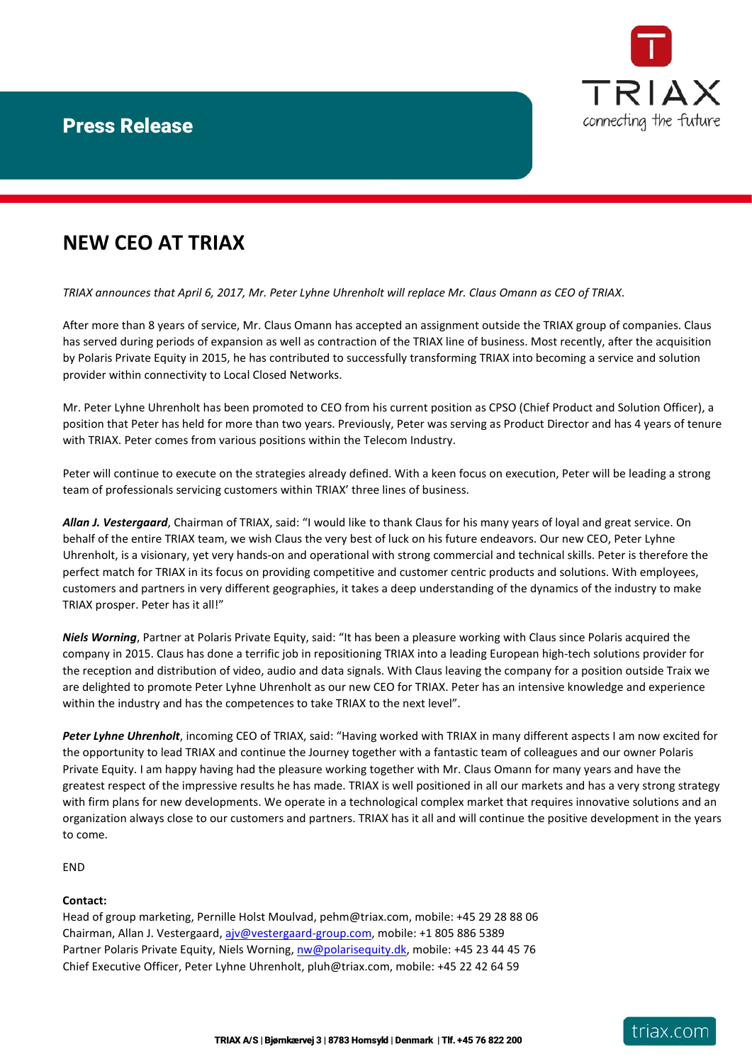

triax.com

## **NEW CEO AT TRIAX**

*TRIAX announces that April 6, 2017, Mr. Peter Lyhne Uhrenholt will replace Mr. Claus Omann as CEO of TRIAX*.

After more than 8 years of service, Mr. Claus Omann has accepted an assignment outside the TRIAX group of companies. Claus has served during periods of expansion as well as contraction of the TRIAX line of business. Most recently, after the acquisition by Polaris Private Equity in 2015, he has contributed to successfully transforming TRIAX into becoming a service and solution provider within connectivity to Local Closed Networks.

Mr. Peter Lyhne Uhrenholt has been promoted to CEO from his current position as CPSO (Chief Product and Solution Officer), a position that Peter has held for more than two years. Previously, Peter was serving as Product Director and has 4 years of tenure with TRIAX. Peter comes from various positions within the Telecom Industry.

Peter will continue to execute on the strategies already defined. With a keen focus on execution, Peter will be leading a strong team of professionals servicing customers within TRIAX' three lines of business.

*Allan J. Vestergaard*, Chairman of TRIAX, said: "I would like to thank Claus for his many years of loyal and great service. On behalf of the entire TRIAX team, we wish Claus the very best of luck on his future endeavors. Our new CEO, Peter Lyhne Uhrenholt, is a visionary, yet very hands-on and operational with strong commercial and technical skills. Peter is therefore the perfect match for TRIAX in its focus on providing competitive and customer centric products and solutions. With employees, customers and partners in very different geographies, it takes a deep understanding of the dynamics of the industry to make TRIAX prosper. Peter has it all!"

*Niels Worning*, Partner at Polaris Private Equity, said: "It has been a pleasure working with Claus since Polaris acquired the company in 2015. Claus has done a terrific job in repositioning TRIAX into a leading European high-tech solutions provider for the reception and distribution of video, audio and data signals. With Claus leaving the company for a position outside Traix we are delighted to promote Peter Lyhne Uhrenholt as our new CEO for TRIAX. Peter has an intensive knowledge and experience within the industry and has the competences to take TRIAX to the next level".

*Peter Lyhne Uhrenholt*, incoming CEO of TRIAX, said: "Having worked with TRIAX in many different aspects I am now excited for the opportunity to lead TRIAX and continue the Journey together with a fantastic team of colleagues and our owner Polaris Private Equity. I am happy having had the pleasure working together with Mr. Claus Omann for many years and have the greatest respect of the impressive results he has made. TRIAX is well positioned in all our markets and has a very strong strategy with firm plans for new developments. We operate in a technological complex market that requires innovative solutions and an organization always close to our customers and partners. TRIAX has it all and will continue the positive development in the years to come.

**FND** 

### **Contact:**

Head of group marketing, Pernille Holst Moulvad, pehm@triax.com, mobile: +45 29 28 88 06 Chairman, Allan J. Vestergaard[, ajv@vestergaard-group.com,](mailto:ajv@vestergaard-group.com) mobile: +1 805 886 5389 Partner Polaris Private Equity, Niels Worning, [nw@polarisequity.dk,](mailto:nw@polarisequity.dk) mobile: +45 23 44 45 76 Chief Executive Officer, Peter Lyhne Uhrenholt, pluh@triax.com, mobile: +45 22 42 64 59